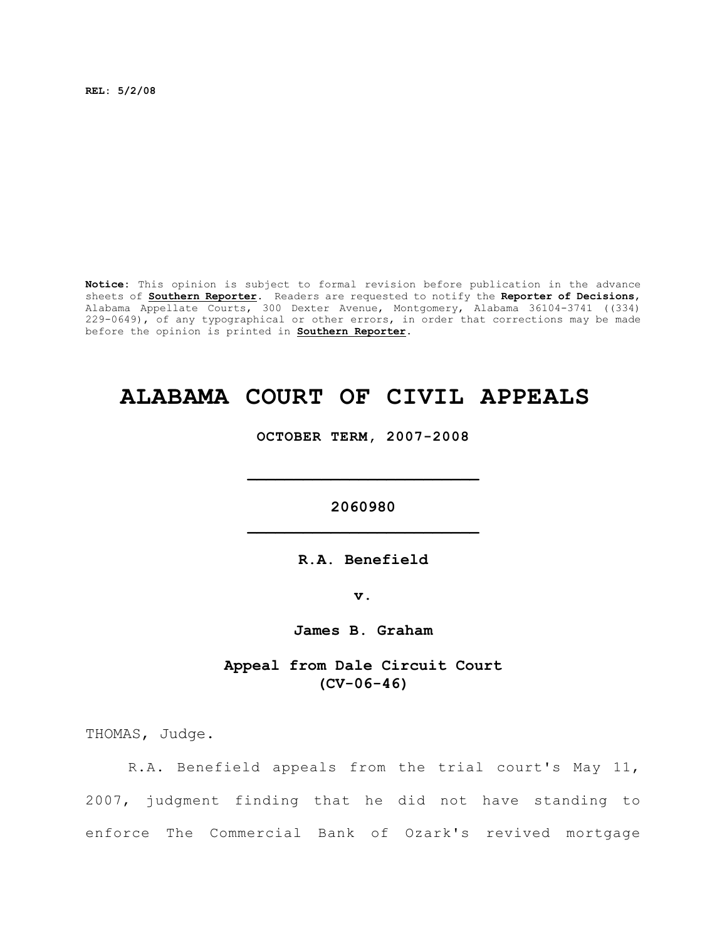**REL: 5/2/08**

**Notice:** This opinion is subject to formal revision before publication in the advance sheets of **Southern Reporter**. Readers are requested to notify the **Reporter of Decisions**, Alabama Appellate Courts, 300 Dexter Avenue, Montgomery, Alabama 36104-3741 ((334) 229-0649), of any typographical or other errors, in order that corrections may be made before the opinion is printed in **Southern Reporter**.

# **ALABAMA COURT OF CIVIL APPEALS**

**OCTOBER TERM, 2007-2008**

**2060980 \_\_\_\_\_\_\_\_\_\_\_\_\_\_\_\_\_\_\_\_\_\_\_\_\_**

**\_\_\_\_\_\_\_\_\_\_\_\_\_\_\_\_\_\_\_\_\_\_\_\_\_**

**R.A. Benefield**

**v.**

**James B. Graham**

**Appeal from Dale Circuit Court (CV-06-46)**

THOMAS, Judge.

R.A. Benefield appeals from the trial court's May 11, 2007, judgment finding that he did not have standing to enforce The Commercial Bank of Ozark's revived mortgage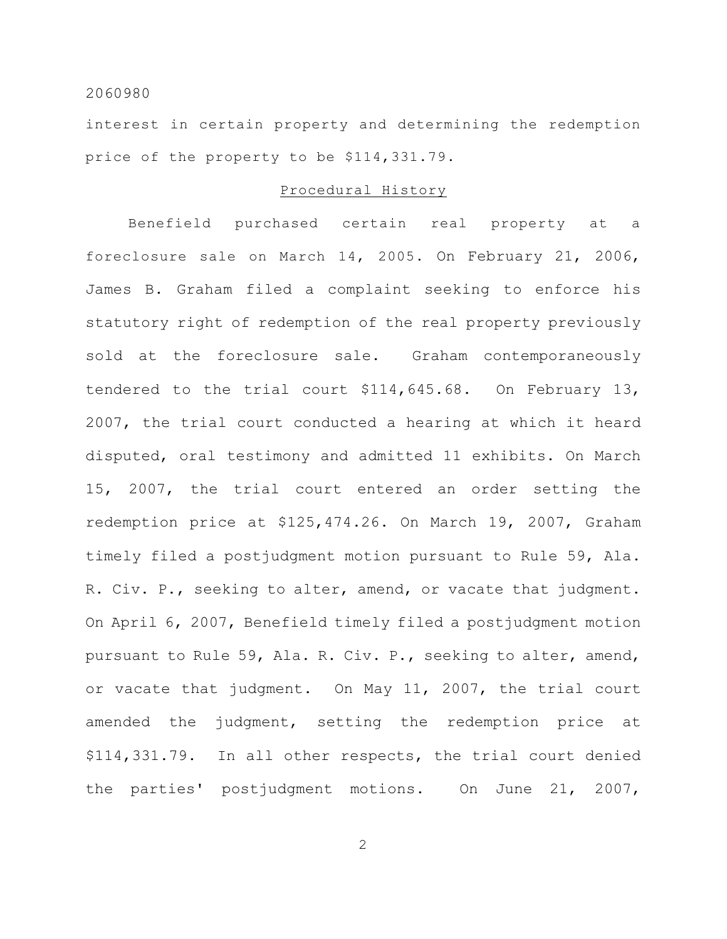interest in certain property and determining the redemption price of the property to be \$114,331.79.

# Procedural History

Benefield purchased certain real property at a foreclosure sale on March 14, 2005. On February 21, 2006, James B. Graham filed a complaint seeking to enforce his statutory right of redemption of the real property previously sold at the foreclosure sale. Graham contemporaneously tendered to the trial court \$114,645.68. On February 13, 2007, the trial court conducted a hearing at which it heard disputed, oral testimony and admitted 11 exhibits. On March 15, 2007, the trial court entered an order setting the redemption price at \$125,474.26. On March 19, 2007, Graham timely filed a postjudgment motion pursuant to Rule 59, Ala. R. Civ. P., seeking to alter, amend, or vacate that judgment. On April 6, 2007, Benefield timely filed a postjudgment motion pursuant to Rule 59, Ala. R. Civ. P., seeking to alter, amend, or vacate that judgment. On May 11, 2007, the trial court amended the judgment, setting the redemption price at \$114,331.79. In all other respects, the trial court denied the parties' postjudgment motions. On June 21, 2007,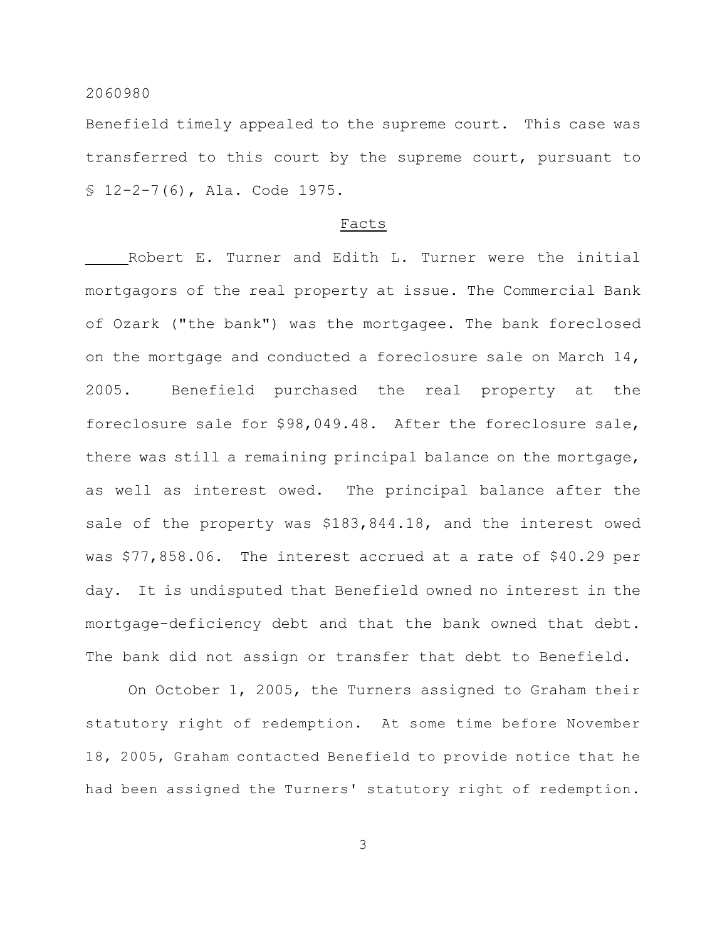Benefield timely appealed to the supreme court. This case was transferred to this court by the supreme court, pursuant to § 12-2-7(6), Ala. Code 1975.

#### Facts

Robert E. Turner and Edith L. Turner were the initial mortgagors of the real property at issue. The Commercial Bank of Ozark ("the bank") was the mortgagee. The bank foreclosed on the mortgage and conducted a foreclosure sale on March  $14$ , 2005. Benefield purchased the real property at the foreclosure sale for \$98,049.48. After the foreclosure sale, there was still a remaining principal balance on the mortgage, as well as interest owed. The principal balance after the sale of the property was \$183,844.18, and the interest owed was \$77,858.06. The interest accrued at a rate of \$40.29 per day. It is undisputed that Benefield owned no interest in the mortgage-deficiency debt and that the bank owned that debt. The bank did not assign or transfer that debt to Benefield.

On October 1, 2005, the Turners assigned to Graham their statutory right of redemption. At some time before November 18, 2005, Graham contacted Benefield to provide notice that he had been assigned the Turners' statutory right of redemption.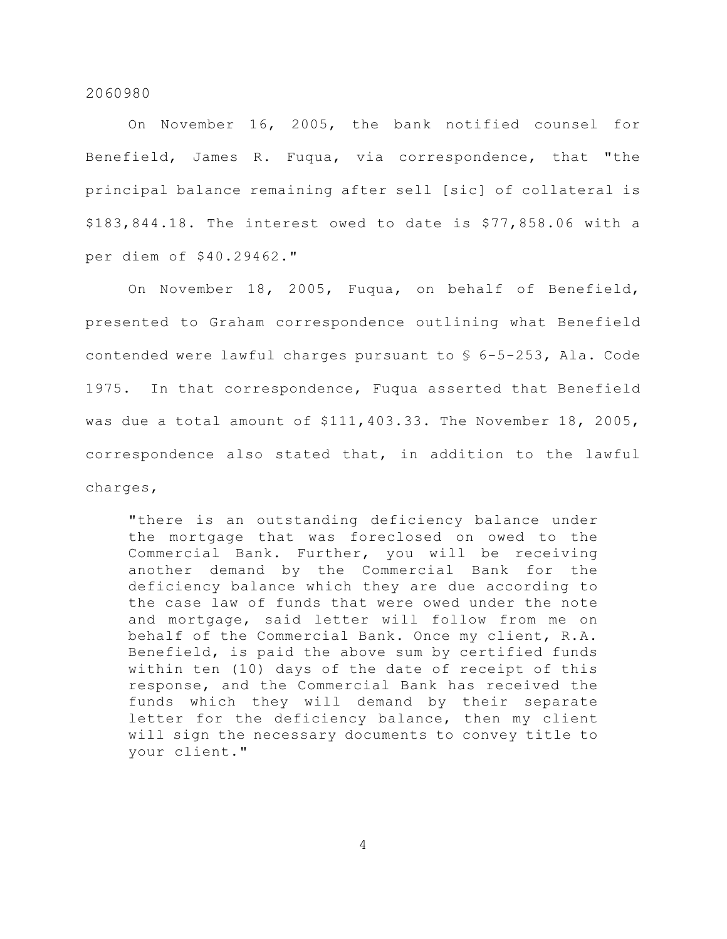On November 16, 2005, the bank notified counsel for Benefield, James R. Fuqua, via correspondence, that "the principal balance remaining after sell [sic] of collateral is \$183,844.18. The interest owed to date is \$77,858.06 with a per diem of \$40.29462."

On November 18, 2005, Fuqua, on behalf of Benefield, presented to Graham correspondence outlining what Benefield contended were lawful charges pursuant to § 6-5-253, Ala. Code 1975. In that correspondence, Fuqua asserted that Benefield was due a total amount of \$111,403.33. The November 18, 2005, correspondence also stated that, in addition to the lawful charges,

"there is an outstanding deficiency balance under the mortgage that was foreclosed on owed to the Commercial Bank. Further, you will be receiving another demand by the Commercial Bank for the deficiency balance which they are due according to the case law of funds that were owed under the note and mortgage, said letter will follow from me on behalf of the Commercial Bank. Once my client, R.A. Benefield, is paid the above sum by certified funds within ten (10) days of the date of receipt of this response, and the Commercial Bank has received the funds which they will demand by their separate letter for the deficiency balance, then my client will sign the necessary documents to convey title to your client."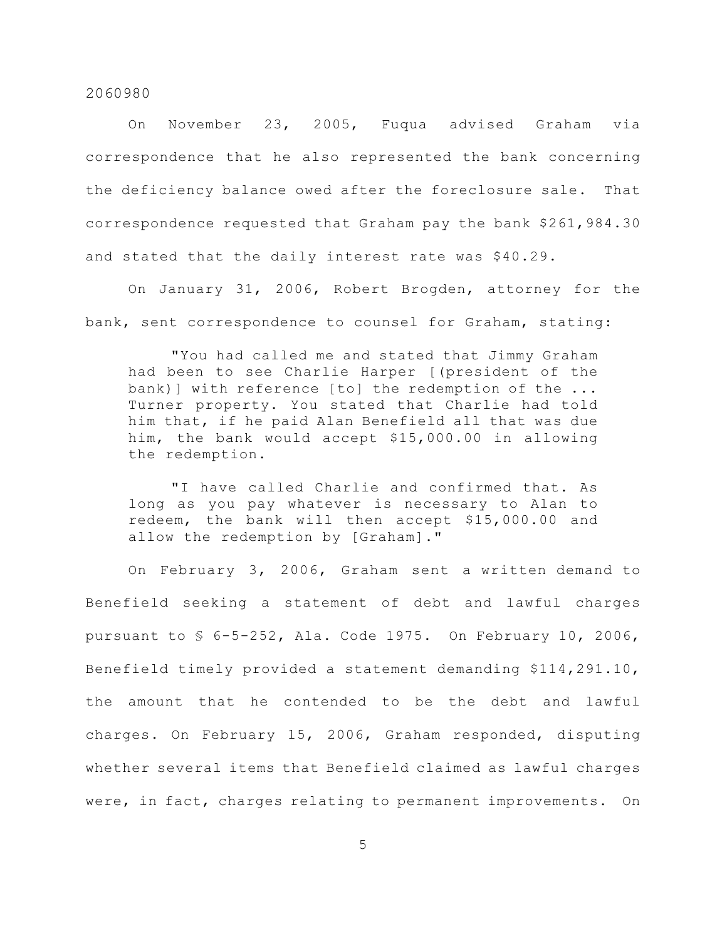On November 23, 2005, Fuqua advised Graham via correspondence that he also represented the bank concerning the deficiency balance owed after the foreclosure sale. That correspondence requested that Graham pay the bank \$261,984.30 and stated that the daily interest rate was \$40.29.

On January 31, 2006, Robert Brogden, attorney for the bank, sent correspondence to counsel for Graham, stating:

"You had called me and stated that Jimmy Graham had been to see Charlie Harper [(president of the bank)] with reference [to] the redemption of the ... Turner property. You stated that Charlie had told him that, if he paid Alan Benefield all that was due him, the bank would accept \$15,000.00 in allowing the redemption.

"I have called Charlie and confirmed that. As long as you pay whatever is necessary to Alan to redeem, the bank will then accept \$15,000.00 and allow the redemption by [Graham]."

On February 3, 2006, Graham sent a written demand to Benefield seeking a statement of debt and lawful charges pursuant to § 6-5-252, Ala. Code 1975. On February 10, 2006, Benefield timely provided a statement demanding \$114,291.10, the amount that he contended to be the debt and lawful charges. On February 15, 2006, Graham responded, disputing whether several items that Benefield claimed as lawful charges were, in fact, charges relating to permanent improvements. On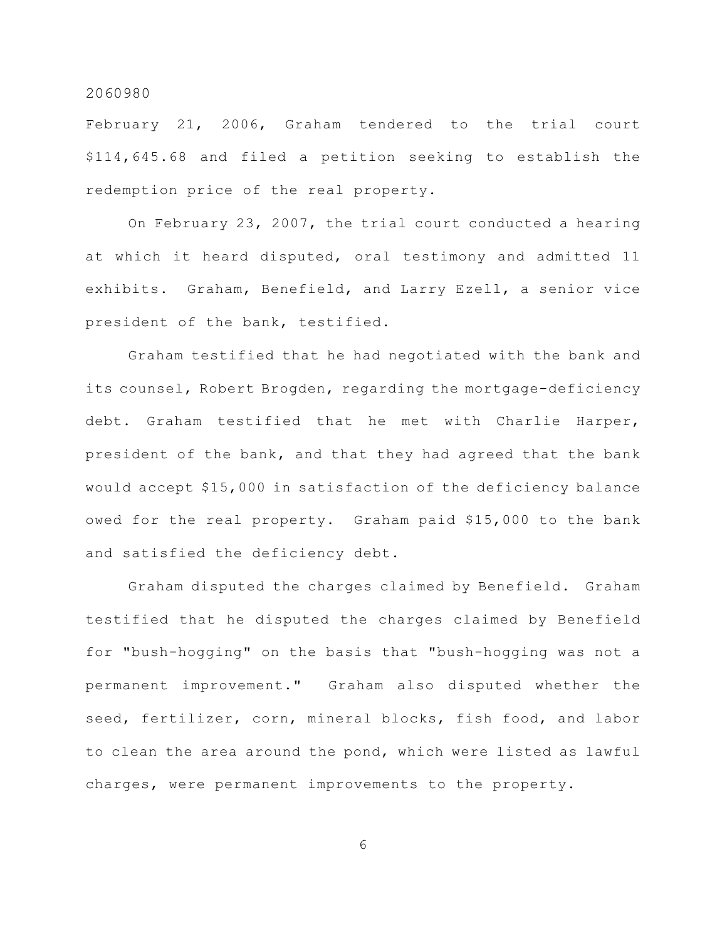February 21, 2006, Graham tendered to the trial court \$114,645.68 and filed a petition seeking to establish the redemption price of the real property.

On February 23, 2007, the trial court conducted a hearing at which it heard disputed, oral testimony and admitted 11 exhibits. Graham, Benefield, and Larry Ezell, a senior vice president of the bank, testified.

Graham testified that he had negotiated with the bank and its counsel, Robert Brogden, regarding the mortgage-deficiency debt. Graham testified that he met with Charlie Harper, president of the bank, and that they had agreed that the bank would accept \$15,000 in satisfaction of the deficiency balance owed for the real property. Graham paid \$15,000 to the bank and satisfied the deficiency debt.

Graham disputed the charges claimed by Benefield. Graham testified that he disputed the charges claimed by Benefield for "bush-hogging" on the basis that "bush-hogging was not a permanent improvement." Graham also disputed whether the seed, fertilizer, corn, mineral blocks, fish food, and labor to clean the area around the pond, which were listed as lawful charges, were permanent improvements to the property.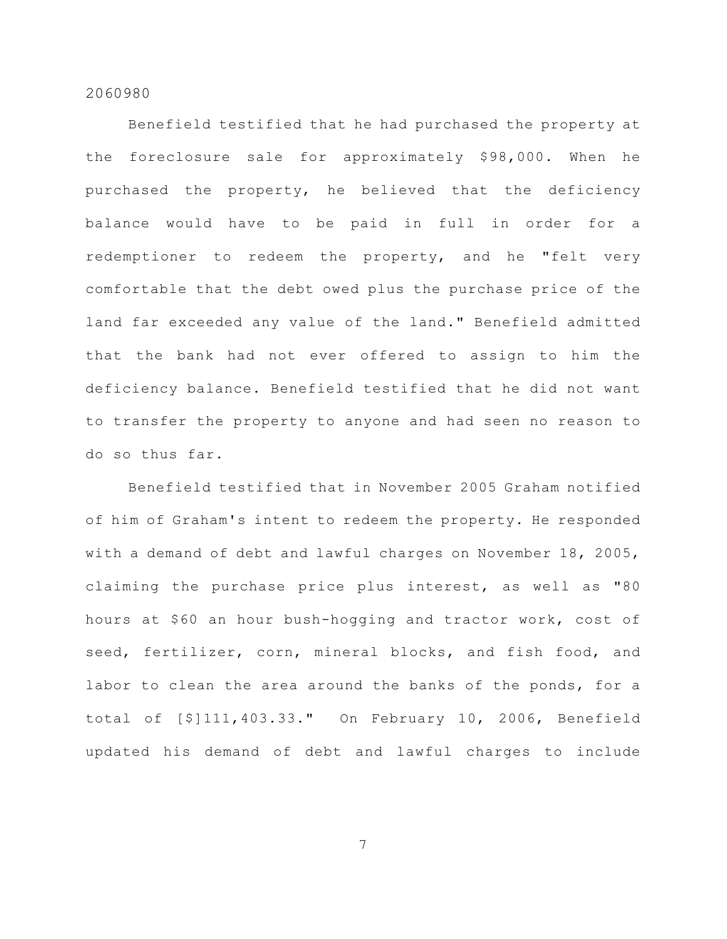Benefield testified that he had purchased the property at the foreclosure sale for approximately \$98,000. When he purchased the property, he believed that the deficiency balance would have to be paid in full in order for a redemptioner to redeem the property, and he "felt very comfortable that the debt owed plus the purchase price of the land far exceeded any value of the land." Benefield admitted that the bank had not ever offered to assign to him the deficiency balance. Benefield testified that he did not want to transfer the property to anyone and had seen no reason to do so thus far.

Benefield testified that in November 2005 Graham notified of him of Graham's intent to redeem the property. He responded with a demand of debt and lawful charges on November 18, 2005, claiming the purchase price plus interest, as well as "80 hours at \$60 an hour bush-hogging and tractor work, cost of seed, fertilizer, corn, mineral blocks, and fish food, and labor to clean the area around the banks of the ponds, for a total of [\$]111,403.33." On February 10, 2006, Benefield updated his demand of debt and lawful charges to include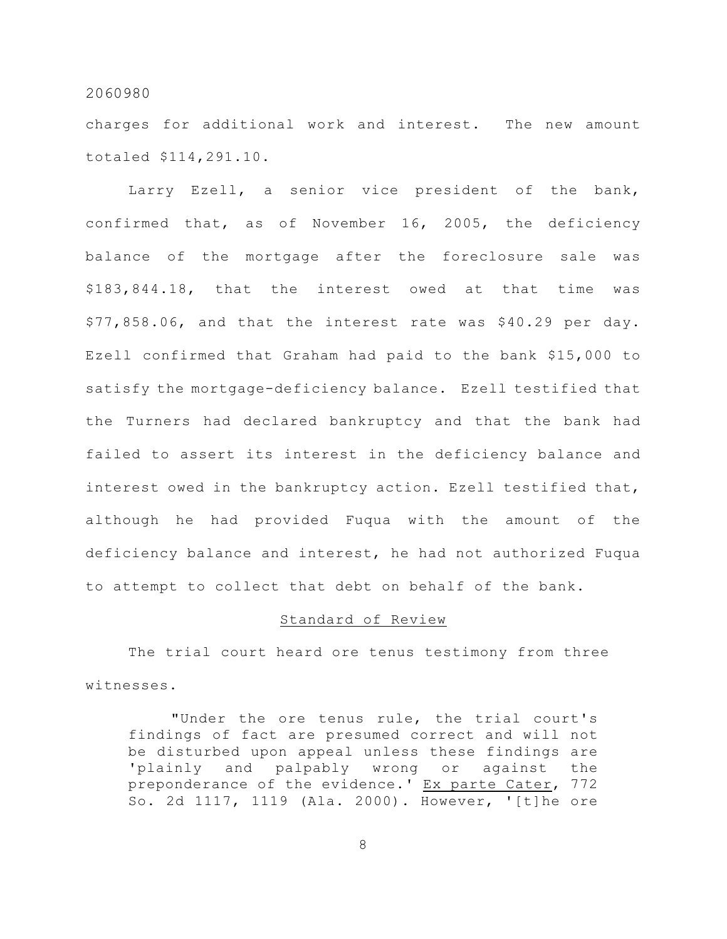charges for additional work and interest. The new amount totaled \$114,291.10.

Larry Ezell, a senior vice president of the bank, confirmed that, as of November 16, 2005, the deficiency balance of the mortgage after the foreclosure sale was \$183,844.18, that the interest owed at that time was \$77,858.06, and that the interest rate was \$40.29 per day. Ezell confirmed that Graham had paid to the bank \$15,000 to satisfy the mortgage-deficiency balance. Ezell testified that the Turners had declared bankruptcy and that the bank had failed to assert its interest in the deficiency balance and interest owed in the bankruptcy action. Ezell testified that, although he had provided Fuqua with the amount of the deficiency balance and interest, he had not authorized Fuqua to attempt to collect that debt on behalf of the bank.

## Standard of Review

The trial court heard ore tenus testimony from three witnesses.

"Under the ore tenus rule, the trial court's findings of fact are presumed correct and will not be disturbed upon appeal unless these findings are 'plainly and palpably wrong or against the preponderance of the evidence.' Ex parte Cater, 772 So. 2d 1117, 1119 (Ala. 2000). However, '[t]he ore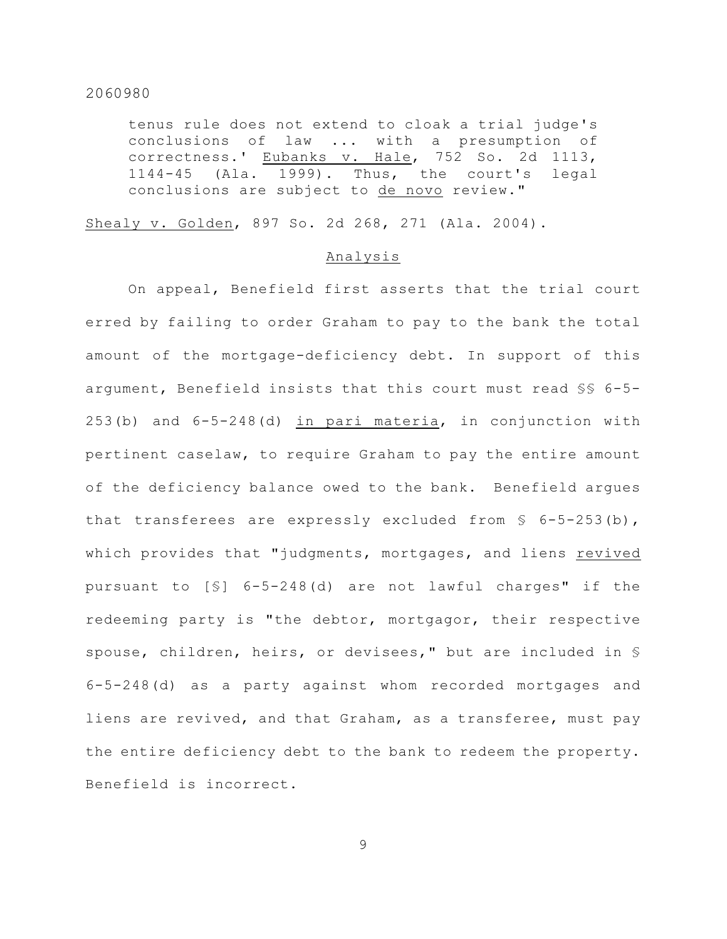tenus rule does not extend to cloak a trial judge's conclusions of law ... with a presumption of correctness.' Eubanks v. Hale, 752 So. 2d 1113, 1144-45 (Ala. 1999). Thus, the court's legal conclusions are subject to de novo review."

Shealy v. Golden, 897 So. 2d 268, 271 (Ala. 2004).

#### Analysis

On appeal, Benefield first asserts that the trial court erred by failing to order Graham to pay to the bank the total amount of the mortgage-deficiency debt. In support of this argument, Benefield insists that this court must read §§ 6-5- 253(b) and 6-5-248(d) in pari materia, in conjunction with pertinent caselaw, to require Graham to pay the entire amount of the deficiency balance owed to the bank. Benefield argues that transferees are expressly excluded from  $\S$  6-5-253(b), which provides that "judgments, mortgages, and liens revived pursuant to [§] 6-5-248(d) are not lawful charges" if the redeeming party is "the debtor, mortgagor, their respective spouse, children, heirs, or devisees," but are included in § 6-5-248(d) as a party against whom recorded mortgages and liens are revived, and that Graham, as a transferee, must pay the entire deficiency debt to the bank to redeem the property. Benefield is incorrect.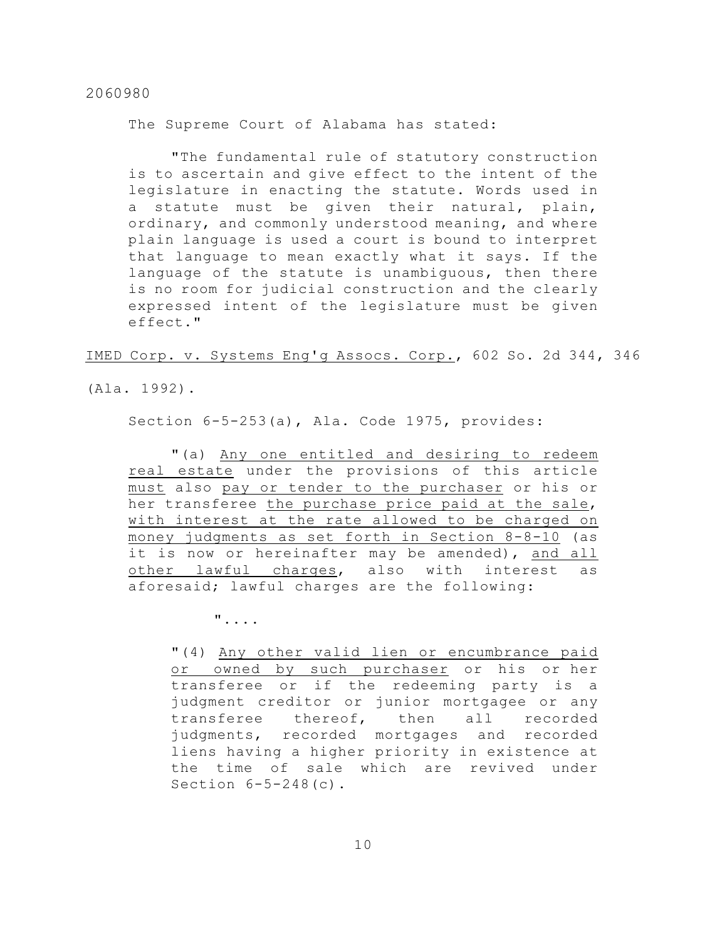The Supreme Court of Alabama has stated:

"The fundamental rule of statutory construction is to ascertain and give effect to the intent of the legislature in enacting the statute. Words used in a statute must be given their natural, plain, ordinary, and commonly understood meaning, and where plain language is used a court is bound to interpret that language to mean exactly what it says. If the language of the statute is unambiguous, then there is no room for judicial construction and the clearly expressed intent of the legislature must be given effect."

IMED Corp. v. Systems Eng'g Assocs. Corp., 602 So. 2d 344, 346

(Ala. 1992).

Section 6-5-253(a), Ala. Code 1975, provides:

"(a) Any one entitled and desiring to redeem real estate under the provisions of this article must also pay or tender to the purchaser or his or her transferee the purchase price paid at the sale, with interest at the rate allowed to be charged on money judgments as set forth in Section 8-8-10 (as it is now or hereinafter may be amended), and all other lawful charges, also with interest as aforesaid; lawful charges are the following:

"....

"(4) Any other valid lien or encumbrance paid or owned by such purchaser or his or her transferee or if the redeeming party is a judgment creditor or junior mortgagee or any transferee thereof, then all recorded judgments, recorded mortgages and recorded liens having a higher priority in existence at the time of sale which are revived under Section 6-5-248(c).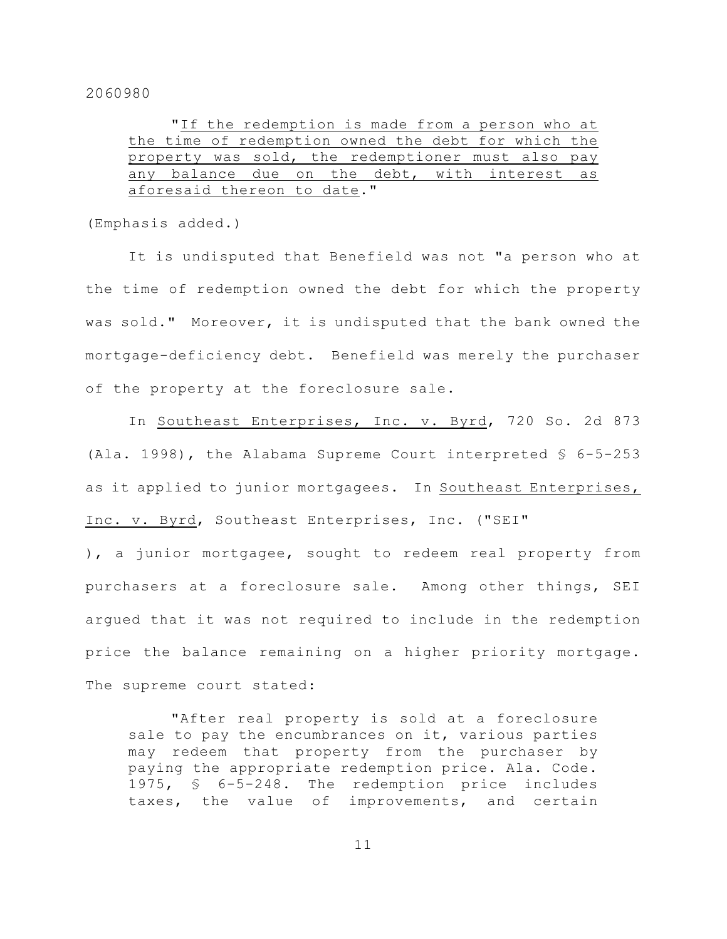|  | "If the redemption is made from a person who at     |  |  |  |  |
|--|-----------------------------------------------------|--|--|--|--|
|  | the time of redemption owned the debt for which the |  |  |  |  |
|  | property was sold, the redemptioner must also pay   |  |  |  |  |
|  | any balance due on the debt, with interest as       |  |  |  |  |
|  | aforesaid thereon to date."                         |  |  |  |  |

(Emphasis added.)

It is undisputed that Benefield was not "a person who at the time of redemption owned the debt for which the property was sold." Moreover, it is undisputed that the bank owned the mortgage-deficiency debt. Benefield was merely the purchaser of the property at the foreclosure sale.

In Southeast Enterprises, Inc. v. Byrd, 720 So. 2d 873 (Ala. 1998), the Alabama Supreme Court interpreted § 6-5-253 as it applied to junior mortgagees. In Southeast Enterprises, Inc. v. Byrd, Southeast Enterprises, Inc. ("SEI"

), a junior mortgagee, sought to redeem real property from purchasers at a foreclosure sale. Among other things, SEI argued that it was not required to include in the redemption price the balance remaining on a higher priority mortgage. The supreme court stated:

"After real property is sold at a foreclosure sale to pay the encumbrances on it, various parties may redeem that property from the purchaser by paying the appropriate redemption price. Ala. Code. 1975, § 6-5-248. The redemption price includes taxes, the value of improvements, and certain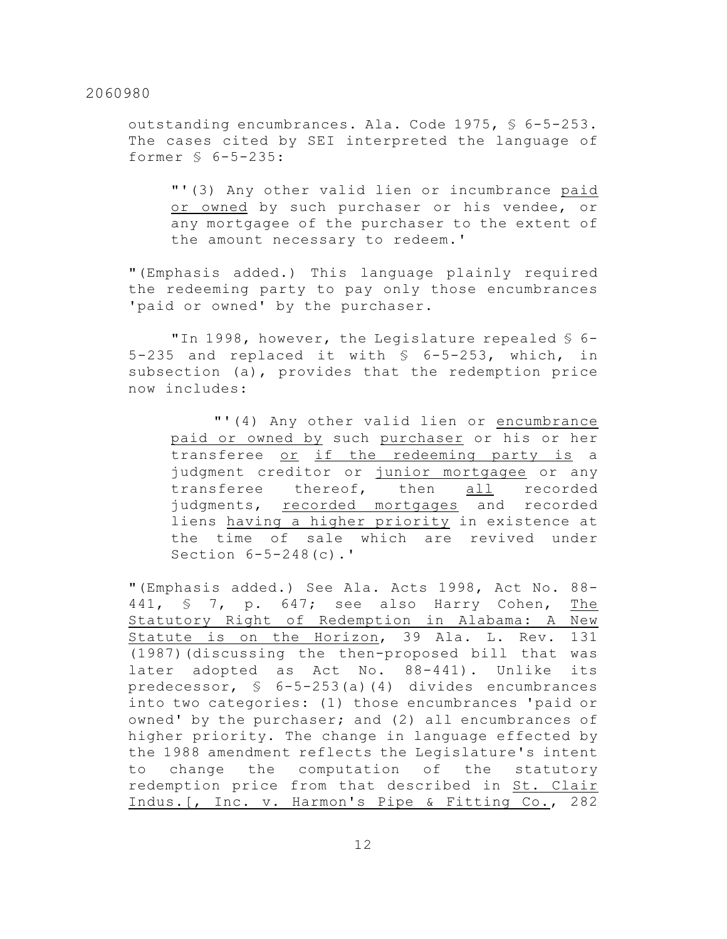outstanding encumbrances. Ala. Code 1975, § 6-5-253. The cases cited by SEI interpreted the language of former § 6-5-235:

"'(3) Any other valid lien or incumbrance paid or owned by such purchaser or his vendee, or any mortgagee of the purchaser to the extent of the amount necessary to redeem.'

"(Emphasis added.) This language plainly required the redeeming party to pay only those encumbrances 'paid or owned' by the purchaser.

"In 1998, however, the Legislature repealed § 6- 5-235 and replaced it with § 6-5-253, which, in subsection (a), provides that the redemption price now includes:

"'(4) Any other valid lien or encumbrance paid or owned by such purchaser or his or her transferee or if the redeeming party is a judgment creditor or junior mortgagee or any transferee thereof, then all recorded judgments, recorded mortgages and recorded liens having a higher priority in existence at the time of sale which are revived under Section 6-5-248(c).'

"(Emphasis added.) See Ala. Acts 1998, Act No. 88- 441, § 7, p. 647; see also Harry Cohen, The Statutory Right of Redemption in Alabama: A New Statute is on the Horizon, 39 Ala. L. Rev. 131 (1987)(discussing the then-proposed bill that was later adopted as Act No. 88-441). Unlike its predecessor, § 6-5-253(a)(4) divides encumbrances into two categories: (1) those encumbrances 'paid or owned' by the purchaser; and (2) all encumbrances of higher priority. The change in language effected by the 1988 amendment reflects the Legislature's intent to change the computation of the statutory redemption price from that described in St. Clair Indus.[, Inc. v. Harmon's Pipe & Fitting Co., 282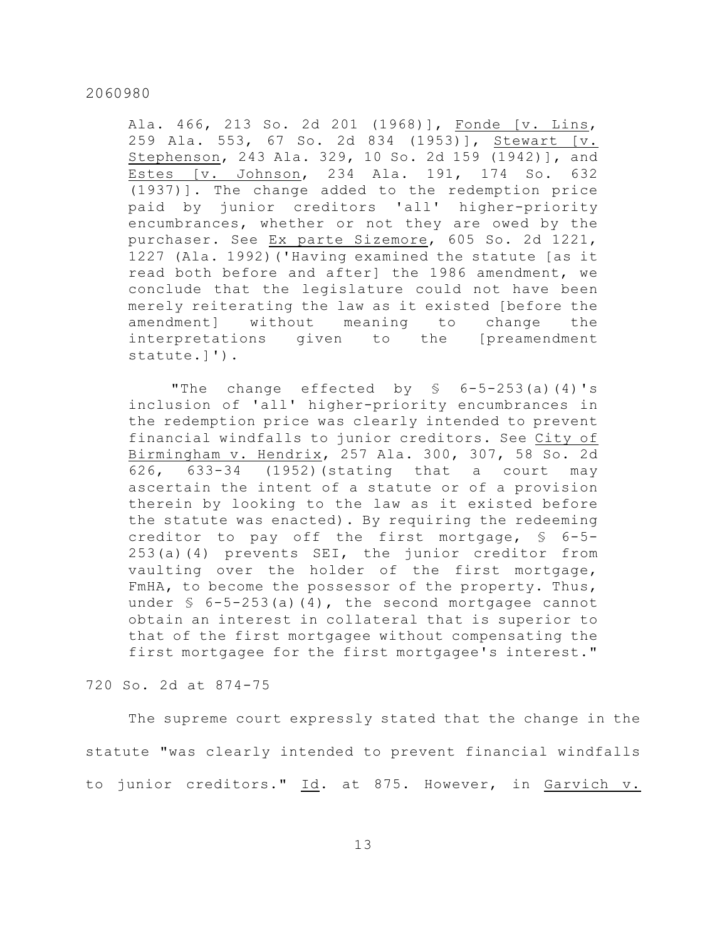Ala. 466, 213 So. 2d 201 (1968)], Fonde [v. Lins, 259 Ala. 553, 67 So. 2d 834 (1953)], Stewart [v. Stephenson, 243 Ala. 329, 10 So. 2d 159 (1942)], and Estes [v. Johnson, 234 Ala. 191, 174 So. 632 (1937)]. The change added to the redemption price paid by junior creditors 'all' higher-priority encumbrances, whether or not they are owed by the purchaser. See Ex parte Sizemore, 605 So. 2d 1221, 1227 (Ala. 1992)('Having examined the statute [as it read both before and after] the 1986 amendment, we conclude that the legislature could not have been merely reiterating the law as it existed [before the amendment] without meaning to change the interpretations given to the [preamendment statute.]').

"The change effected by  $\frac{1}{5}$  6-5-253(a)(4)'s inclusion of 'all' higher-priority encumbrances in the redemption price was clearly intended to prevent financial windfalls to junior creditors. See City of Birmingham v. Hendrix, 257 Ala. 300, 307, 58 So. 2d 626, 633-34 (1952)(stating that a court may ascertain the intent of a statute or of a provision therein by looking to the law as it existed before the statute was enacted). By requiring the redeeming creditor to pay off the first mortgage, § 6-5- 253(a)(4) prevents SEI, the junior creditor from vaulting over the holder of the first mortgage, FmHA, to become the possessor of the property. Thus, under  $\frac{1}{2}$  6-5-253(a)(4), the second mortgagee cannot obtain an interest in collateral that is superior to that of the first mortgagee without compensating the first mortgagee for the first mortgagee's interest."

# 720 So. 2d at 874-75

The supreme court expressly stated that the change in the statute "was clearly intended to prevent financial windfalls to junior creditors." Id. at 875. However, in Garvich v.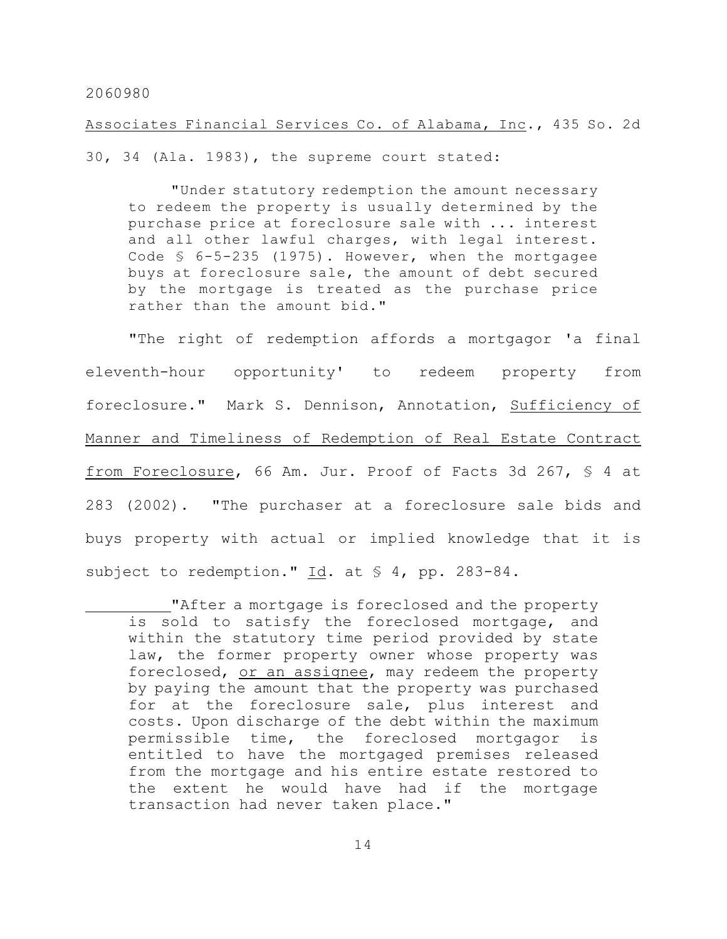Associates Financial Services Co. of Alabama, Inc., 435 So. 2d

30, 34 (Ala. 1983), the supreme court stated:

"Under statutory redemption the amount necessary to redeem the property is usually determined by the purchase price at foreclosure sale with ... interest and all other lawful charges, with legal interest. Code § 6-5-235 (1975). However, when the mortgagee buys at foreclosure sale, the amount of debt secured by the mortgage is treated as the purchase price rather than the amount bid."

"The right of redemption affords a mortgagor 'a final eleventh-hour opportunity' to redeem property from foreclosure." Mark S. Dennison, Annotation, Sufficiency of Manner and Timeliness of Redemption of Real Estate Contract from Foreclosure, 66 Am. Jur. Proof of Facts 3d 267, § 4 at 283 (2002). "The purchaser at a foreclosure sale bids and buys property with actual or implied knowledge that it is subject to redemption." Id. at § 4, pp. 283-84.

<sup>&</sup>quot;After a mortgage is foreclosed and the property is sold to satisfy the foreclosed mortgage, and within the statutory time period provided by state law, the former property owner whose property was foreclosed, or an assignee, may redeem the property by paying the amount that the property was purchased for at the foreclosure sale, plus interest and costs. Upon discharge of the debt within the maximum permissible time, the foreclosed mortgagor is entitled to have the mortgaged premises released from the mortgage and his entire estate restored to the extent he would have had if the mortgage transaction had never taken place."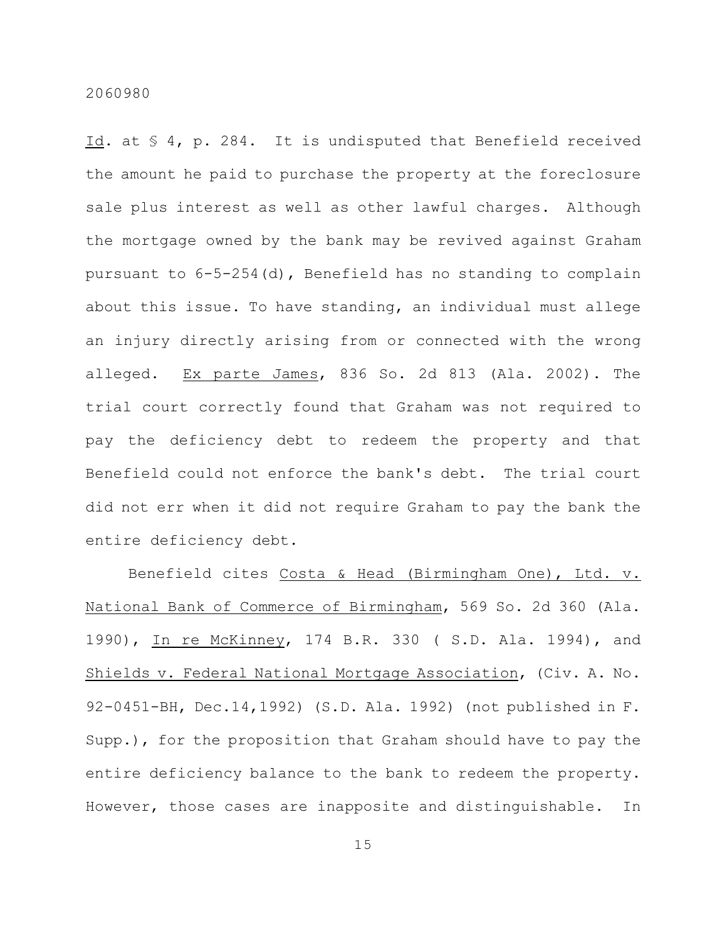Id. at § 4, p. 284. It is undisputed that Benefield received the amount he paid to purchase the property at the foreclosure sale plus interest as well as other lawful charges. Although the mortgage owned by the bank may be revived against Graham pursuant to 6-5-254(d), Benefield has no standing to complain about this issue. To have standing, an individual must allege an injury directly arising from or connected with the wrong alleged. Ex parte James, 836 So. 2d 813 (Ala. 2002). The trial court correctly found that Graham was not required to pay the deficiency debt to redeem the property and that Benefield could not enforce the bank's debt. The trial court did not err when it did not require Graham to pay the bank the entire deficiency debt.

Benefield cites Costa & Head (Birmingham One), Ltd. v. National Bank of Commerce of Birmingham, 569 So. 2d 360 (Ala. 1990), In re McKinney, 174 B.R. 330 ( S.D. Ala. 1994), and Shields v. Federal National Mortgage Association, (Civ. A. No. 92-0451-BH, Dec.14,1992) (S.D. Ala. 1992) (not published in F. Supp.), for the proposition that Graham should have to pay the entire deficiency balance to the bank to redeem the property. However, those cases are inapposite and distinguishable. In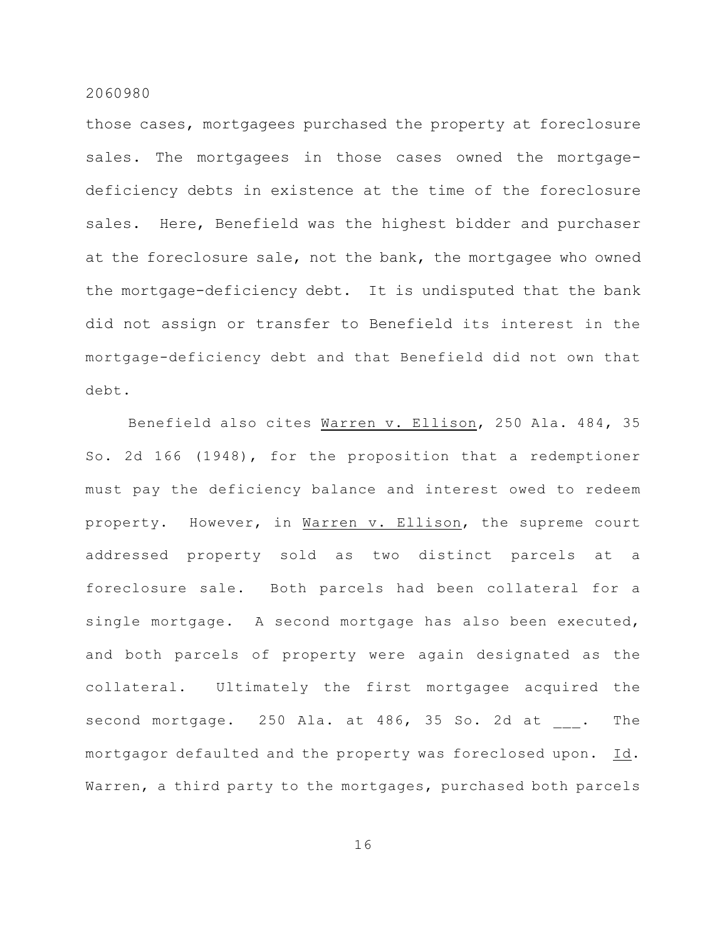those cases, mortgagees purchased the property at foreclosure sales. The mortgagees in those cases owned the mortgagedeficiency debts in existence at the time of the foreclosure sales. Here, Benefield was the highest bidder and purchaser at the foreclosure sale, not the bank, the mortgagee who owned the mortgage-deficiency debt. It is undisputed that the bank did not assign or transfer to Benefield its interest in the mortgage-deficiency debt and that Benefield did not own that debt.

Benefield also cites Warren v. Ellison, 250 Ala. 484, 35 So. 2d 166 (1948), for the proposition that a redemptioner must pay the deficiency balance and interest owed to redeem property. However, in Warren v. Ellison, the supreme court addressed property sold as two distinct parcels at a foreclosure sale. Both parcels had been collateral for a single mortgage. A second mortgage has also been executed, and both parcels of property were again designated as the collateral. Ultimately the first mortgagee acquired the second mortgage. 250 Ala. at 486, 35 So. 2d at . The mortgagor defaulted and the property was foreclosed upon. Id. Warren, a third party to the mortgages, purchased both parcels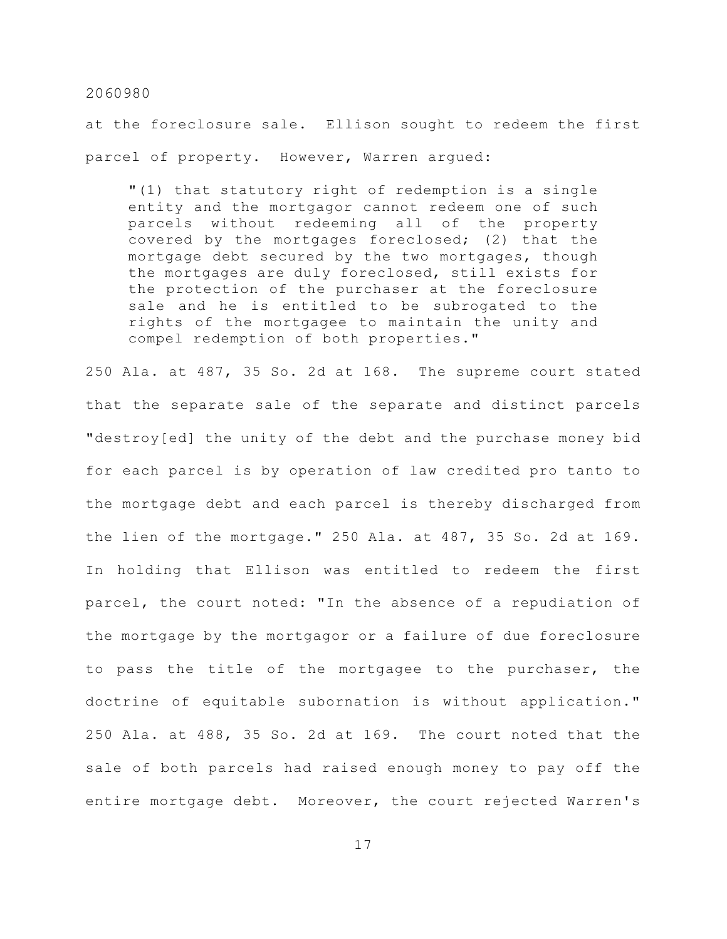at the foreclosure sale. Ellison sought to redeem the first parcel of property. However, Warren argued:

"(1) that statutory right of redemption is a single entity and the mortgagor cannot redeem one of such parcels without redeeming all of the property covered by the mortgages foreclosed; (2) that the mortgage debt secured by the two mortgages, though the mortgages are duly foreclosed, still exists for the protection of the purchaser at the foreclosure sale and he is entitled to be subrogated to the rights of the mortgagee to maintain the unity and compel redemption of both properties."

250 Ala. at 487, 35 So. 2d at 168. The supreme court stated that the separate sale of the separate and distinct parcels "destroy[ed] the unity of the debt and the purchase money bid for each parcel is by operation of law credited pro tanto to the mortgage debt and each parcel is thereby discharged from the lien of the mortgage." 250 Ala. at 487, 35 So. 2d at 169. In holding that Ellison was entitled to redeem the first parcel, the court noted: "In the absence of a repudiation of the mortgage by the mortgagor or a failure of due foreclosure to pass the title of the mortgagee to the purchaser, the doctrine of equitable subornation is without application." 250 Ala. at 488, 35 So. 2d at 169. The court noted that the sale of both parcels had raised enough money to pay off the entire mortgage debt. Moreover, the court rejected Warren's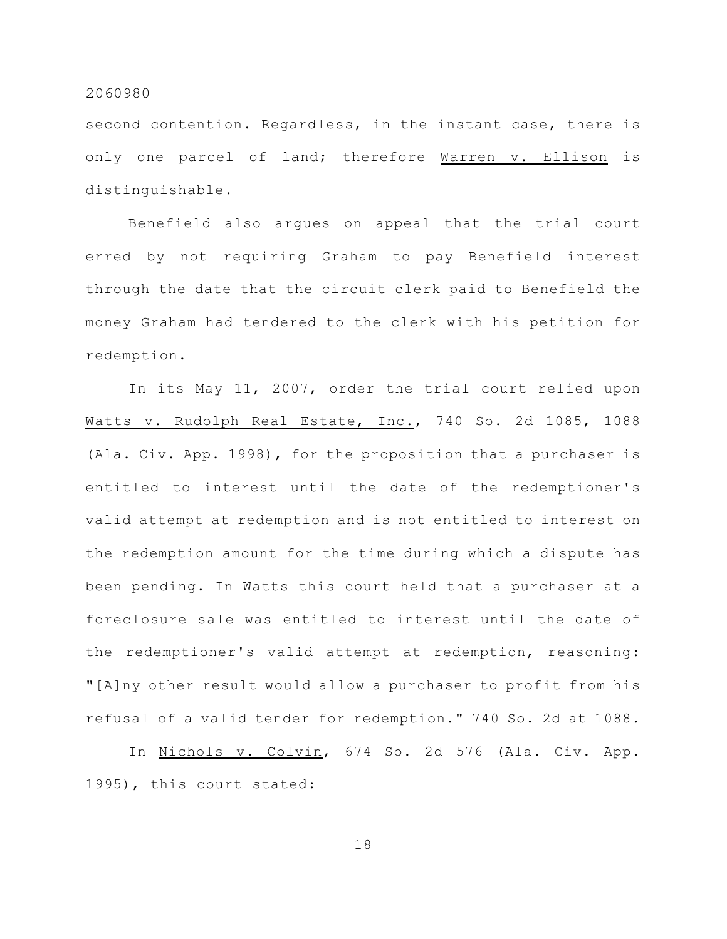second contention. Regardless, in the instant case, there is only one parcel of land; therefore Warren v. Ellison is distinguishable.

Benefield also argues on appeal that the trial court erred by not requiring Graham to pay Benefield interest through the date that the circuit clerk paid to Benefield the money Graham had tendered to the clerk with his petition for redemption.

In its May 11, 2007, order the trial court relied upon Watts v. Rudolph Real Estate, Inc., 740 So. 2d 1085, 1088 (Ala. Civ. App. 1998), for the proposition that a purchaser is entitled to interest until the date of the redemptioner's valid attempt at redemption and is not entitled to interest on the redemption amount for the time during which a dispute has been pending. In Watts this court held that a purchaser at a foreclosure sale was entitled to interest until the date of the redemptioner's valid attempt at redemption, reasoning: "[A]ny other result would allow a purchaser to profit from his refusal of a valid tender for redemption." 740 So. 2d at 1088.

In Nichols v. Colvin, 674 So. 2d 576 (Ala. Civ. App. 1995), this court stated: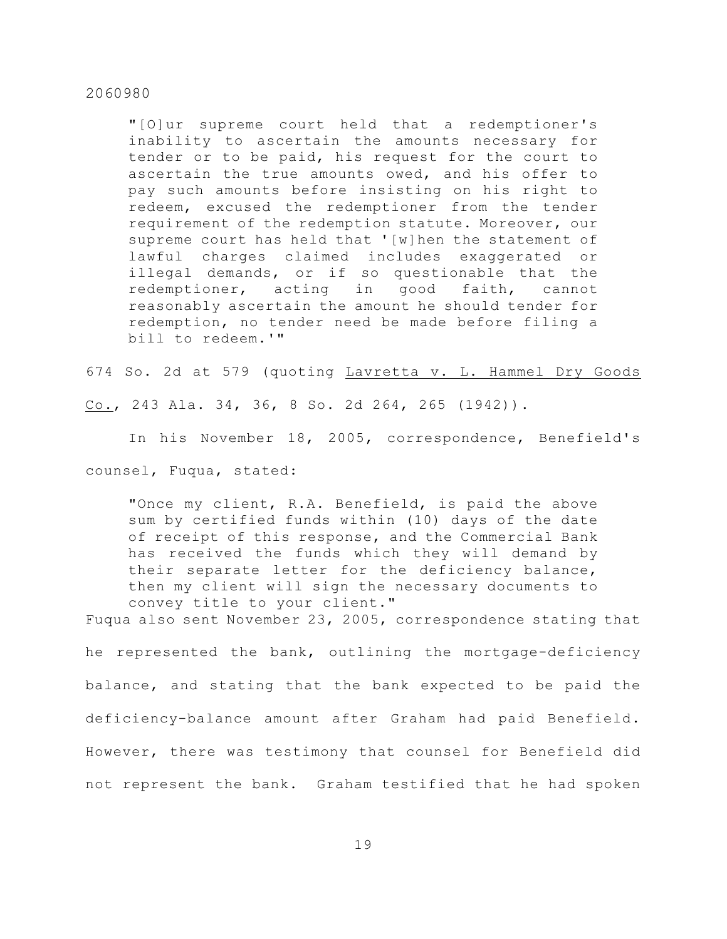"[O]ur supreme court held that a redemptioner's inability to ascertain the amounts necessary for tender or to be paid, his request for the court to ascertain the true amounts owed, and his offer to pay such amounts before insisting on his right to redeem, excused the redemptioner from the tender requirement of the redemption statute. Moreover, our supreme court has held that '[w]hen the statement of lawful charges claimed includes exaggerated or illegal demands, or if so questionable that the redemptioner, acting in good faith, cannot reasonably ascertain the amount he should tender for redemption, no tender need be made before filing a bill to redeem.'"

674 So. 2d at 579 (quoting Lavretta v. L. Hammel Dry Goods

Co., 243 Ala. 34, 36, 8 So. 2d 264, 265 (1942)).

In his November 18, 2005, correspondence, Benefield's

counsel, Fuqua, stated:

"Once my client, R.A. Benefield, is paid the above sum by certified funds within (10) days of the date of receipt of this response, and the Commercial Bank has received the funds which they will demand by their separate letter for the deficiency balance, then my client will sign the necessary documents to convey title to your client."

Fuqua also sent November 23, 2005, correspondence stating that

he represented the bank, outlining the mortgage-deficiency balance, and stating that the bank expected to be paid the deficiency-balance amount after Graham had paid Benefield. However, there was testimony that counsel for Benefield did not represent the bank. Graham testified that he had spoken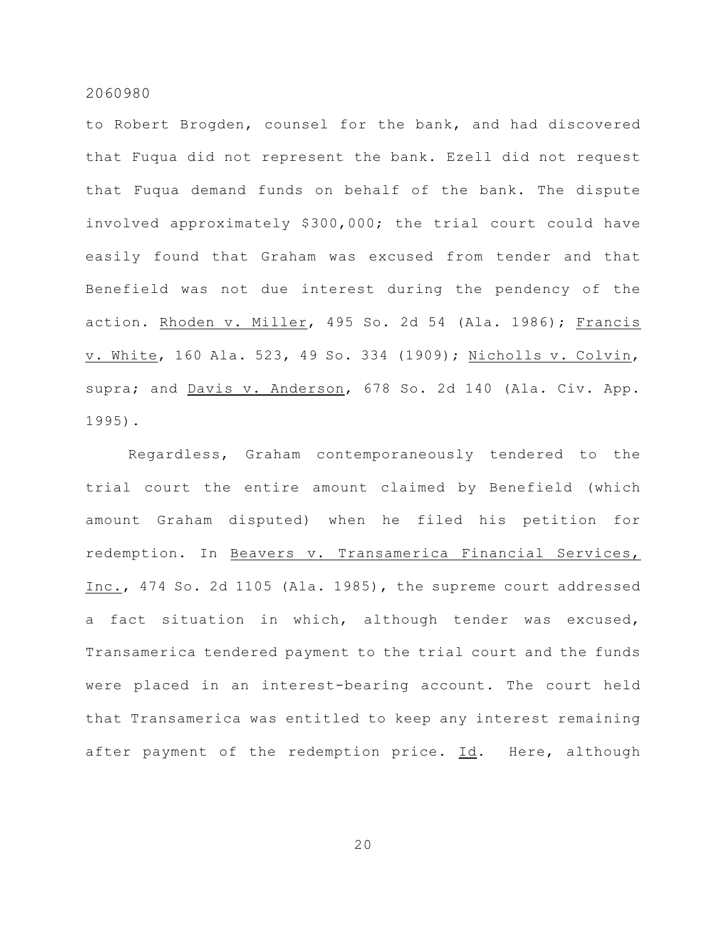to Robert Brogden, counsel for the bank, and had discovered that Fuqua did not represent the bank. Ezell did not request that Fuqua demand funds on behalf of the bank. The dispute involved approximately \$300,000; the trial court could have easily found that Graham was excused from tender and that Benefield was not due interest during the pendency of the action. Rhoden v. Miller, 495 So. 2d 54 (Ala. 1986); Francis v. White, 160 Ala. 523, 49 So. 334 (1909); Nicholls v. Colvin, supra; and Davis v. Anderson, 678 So. 2d 140 (Ala. Civ. App. 1995).

Regardless, Graham contemporaneously tendered to the trial court the entire amount claimed by Benefield (which amount Graham disputed) when he filed his petition for redemption. In Beavers v. Transamerica Financial Services, Inc., 474 So. 2d 1105 (Ala. 1985), the supreme court addressed a fact situation in which, although tender was excused, Transamerica tendered payment to the trial court and the funds were placed in an interest-bearing account. The court held that Transamerica was entitled to keep any interest remaining after payment of the redemption price. Id. Here, although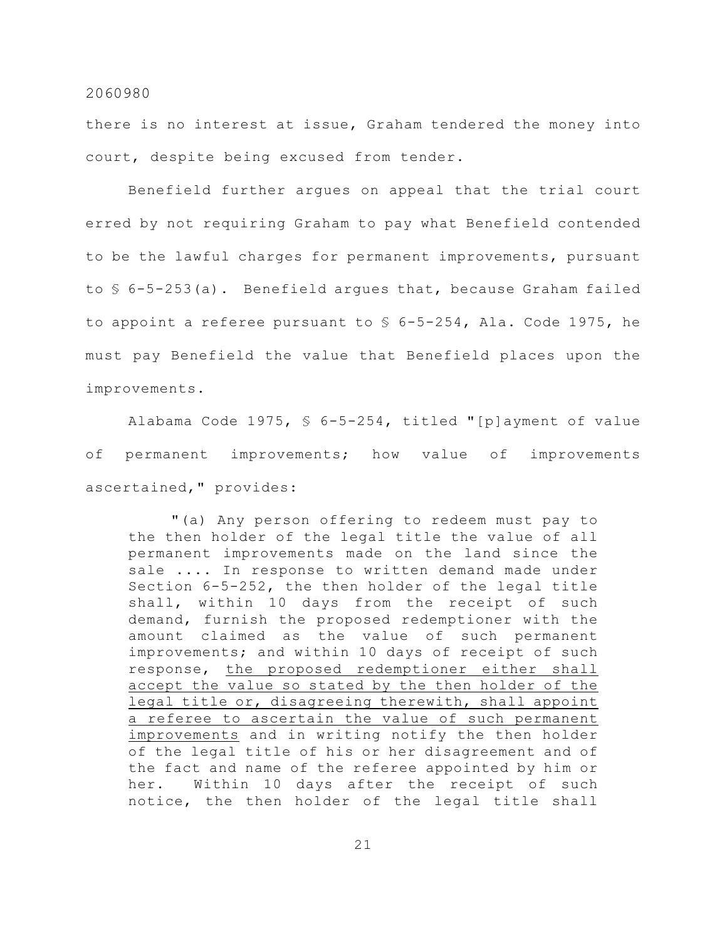there is no interest at issue, Graham tendered the money into court, despite being excused from tender.

Benefield further argues on appeal that the trial court erred by not requiring Graham to pay what Benefield contended to be the lawful charges for permanent improvements, pursuant to  $\frac{1}{2}$  6-5-253(a). Benefield argues that, because Graham failed to appoint a referee pursuant to  $$ 6-5-254$ , Ala. Code 1975, he must pay Benefield the value that Benefield places upon the improvements.

Alabama Code 1975, § 6-5-254, titled "[p]ayment of value of permanent improvements; how value of improvements ascertained," provides:

"(a) Any person offering to redeem must pay to the then holder of the legal title the value of all permanent improvements made on the land since the sale .... In response to written demand made under Section 6-5-252, the then holder of the legal title shall, within 10 days from the receipt of such demand, furnish the proposed redemptioner with the amount claimed as the value of such permanent improvements; and within 10 days of receipt of such response, the proposed redemptioner either shall accept the value so stated by the then holder of the legal title or, disagreeing therewith, shall appoint a referee to ascertain the value of such permanent improvements and in writing notify the then holder of the legal title of his or her disagreement and of the fact and name of the referee appointed by him or her. Within 10 days after the receipt of such notice, the then holder of the legal title shall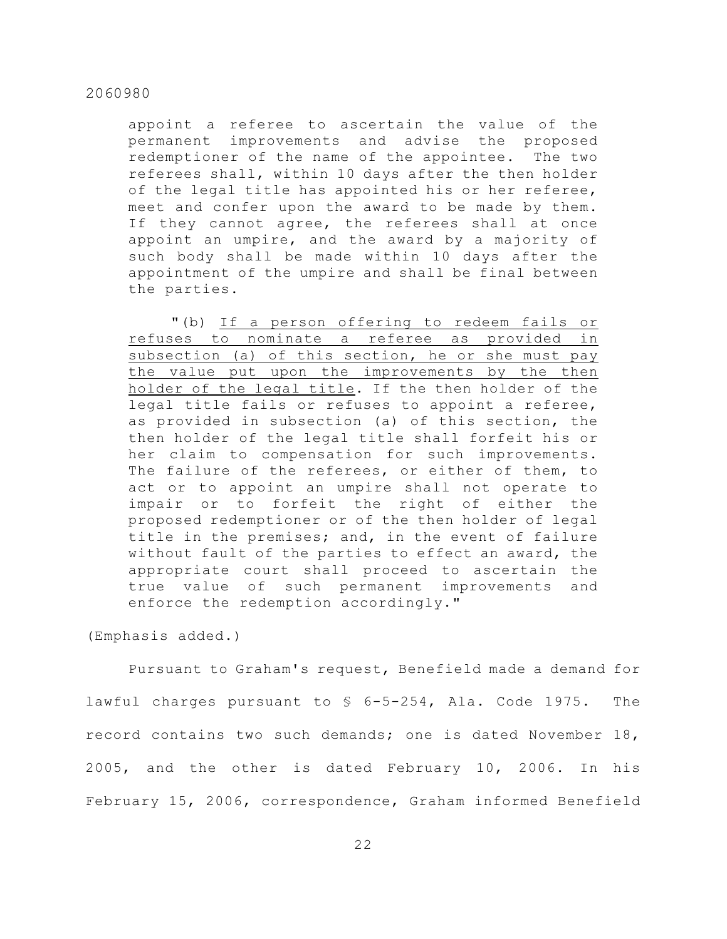appoint a referee to ascertain the value of the permanent improvements and advise the proposed redemptioner of the name of the appointee. The two referees shall, within 10 days after the then holder of the legal title has appointed his or her referee, meet and confer upon the award to be made by them. If they cannot agree, the referees shall at once appoint an umpire, and the award by a majority of such body shall be made within 10 days after the appointment of the umpire and shall be final between the parties.

"(b) If a person offering to redeem fails or refuses to nominate a referee as provided in subsection (a) of this section, he or she must pay the value put upon the improvements by the then holder of the legal title. If the then holder of the legal title fails or refuses to appoint a referee, as provided in subsection (a) of this section, the then holder of the legal title shall forfeit his or her claim to compensation for such improvements. The failure of the referees, or either of them, to act or to appoint an umpire shall not operate to impair or to forfeit the right of either the proposed redemptioner or of the then holder of legal title in the premises; and, in the event of failure without fault of the parties to effect an award, the appropriate court shall proceed to ascertain the true value of such permanent improvements and enforce the redemption accordingly."

(Emphasis added.)

Pursuant to Graham's request, Benefield made a demand for lawful charges pursuant to § 6-5-254, Ala. Code 1975. The record contains two such demands; one is dated November 18, 2005, and the other is dated February 10, 2006. In his February 15, 2006, correspondence, Graham informed Benefield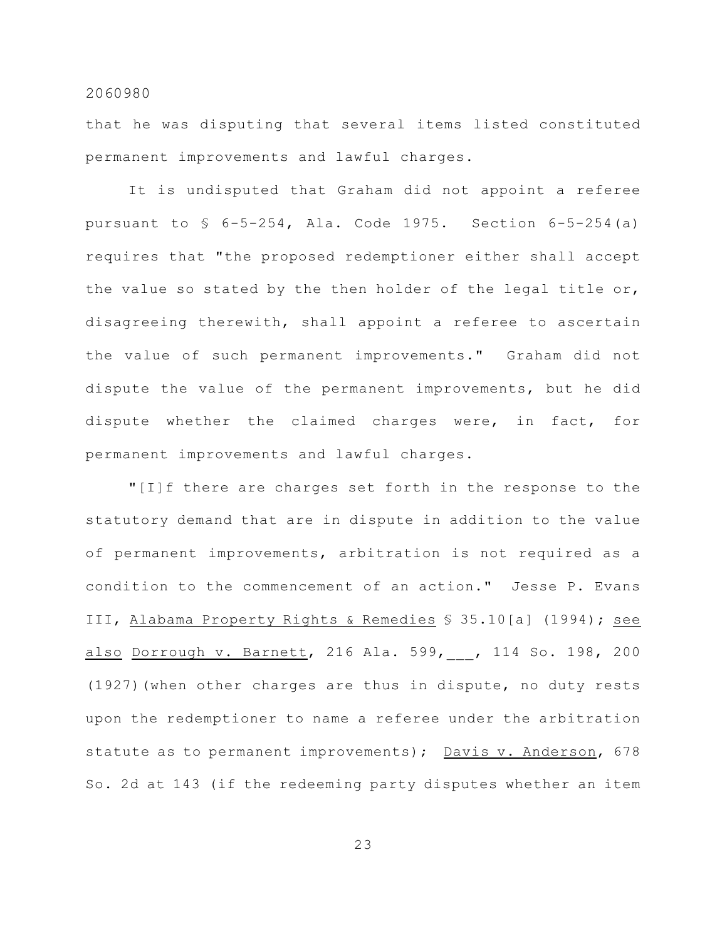that he was disputing that several items listed constituted permanent improvements and lawful charges.

It is undisputed that Graham did not appoint a referee pursuant to  $\frac{1}{5}$  6-5-254, Ala. Code 1975. Section 6-5-254(a) requires that "the proposed redemptioner either shall accept the value so stated by the then holder of the legal title or, disagreeing therewith, shall appoint a referee to ascertain the value of such permanent improvements." Graham did not dispute the value of the permanent improvements, but he did dispute whether the claimed charges were, in fact, for permanent improvements and lawful charges.

"[I]f there are charges set forth in the response to the statutory demand that are in dispute in addition to the value of permanent improvements, arbitration is not required as a condition to the commencement of an action." Jesse P. Evans III, Alabama Property Rights & Remedies § 35.10[a] (1994); see also Dorrough v. Barnett, 216 Ala. 599,\_\_\_, 114 So. 198, 200 (1927)(when other charges are thus in dispute, no duty rests upon the redemptioner to name a referee under the arbitration statute as to permanent improvements); Davis v. Anderson, 678 So. 2d at 143 (if the redeeming party disputes whether an item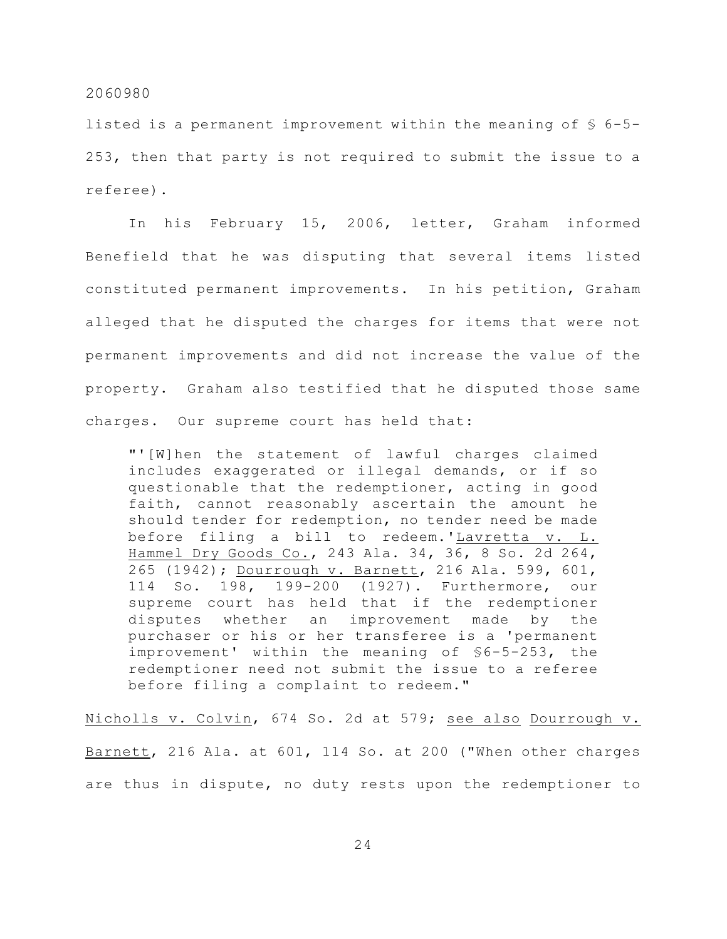listed is a permanent improvement within the meaning of § 6-5- 253, then that party is not required to submit the issue to a referee).

In his February 15, 2006, letter, Graham informed Benefield that he was disputing that several items listed constituted permanent improvements. In his petition, Graham alleged that he disputed the charges for items that were not permanent improvements and did not increase the value of the property. Graham also testified that he disputed those same charges. Our supreme court has held that:

"'[W]hen the statement of lawful charges claimed includes exaggerated or illegal demands, or if so questionable that the redemptioner, acting in good faith, cannot reasonably ascertain the amount he should tender for redemption, no tender need be made before filing a bill to redeem.'Lavretta v. L. Hammel Dry Goods Co., 243 Ala. 34, 36, 8 So. 2d 264, 265 (1942); Dourrough v. Barnett, 216 Ala. 599, 601, 114 So. 198, 199-200 (1927). Furthermore, our supreme court has held that if the redemptioner disputes whether an improvement made by the purchaser or his or her transferee is a 'permanent improvement' within the meaning of §6-5-253, the redemptioner need not submit the issue to a referee before filing a complaint to redeem."

Nicholls v. Colvin, 674 So. 2d at 579; see also Dourrough v. Barnett, 216 Ala. at 601, 114 So. at 200 ("When other charges are thus in dispute, no duty rests upon the redemptioner to